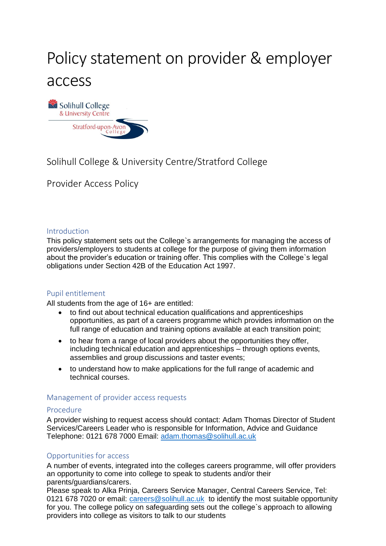# Policy statement on provider & employer access



### Solihull College & University Centre/Stratford College

Provider Access Policy

#### Introduction

This policy statement sets out the College`s arrangements for managing the access of providers/employers to students at college for the purpose of giving them information about the provider's education or training offer. This complies with the College`s legal obligations under Section 42B of the Education Act 1997.

#### Pupil entitlement

All students from the age of 16+ are entitled:

- to find out about technical education qualifications and apprenticeships opportunities, as part of a careers programme which provides information on the full range of education and training options available at each transition point;
- to hear from a range of local providers about the opportunities they offer, including technical education and apprenticeships – through options events, assemblies and group discussions and taster events;
- to understand how to make applications for the full range of academic and technical courses.

#### Management of provider access requests

#### Procedure

A provider wishing to request access should contact: Adam Thomas Director of Student Services/Careers Leader who is responsible for Information, Advice and Guidance Telephone: 0121 678 7000 Email: [adam.thomas@solihull.ac.uk](mailto:adam.thomas@solihull.ac.uk)

#### Opportunities for access

A number of events, integrated into the colleges careers programme, will offer providers an opportunity to come into college to speak to students and/or their parents/guardians/carers.

Please speak to Alka Prinja, Careers Service Manager, Central Careers Service, Tel: 0121 678 7020 or email: [careers@solihull.ac.uk](mailto:careers@solihull.ac.uk) to identify the most suitable opportunity for you. The college policy on safeguarding sets out the college`s approach to allowing providers into college as visitors to talk to our students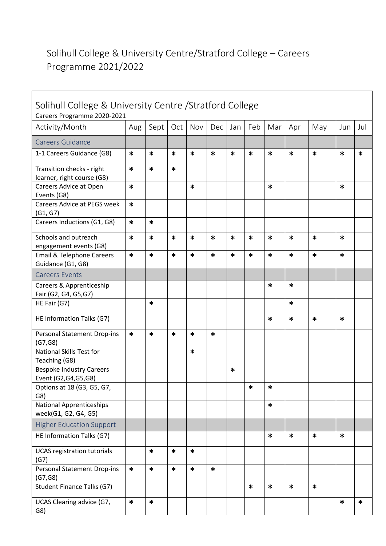## Solihull College & University Centre/Stratford College – Careers Programme 2021/2022

 $\mathbf{r}$ 

| Solihull College & University Centre / Stratford College<br>Careers Programme 2020-2021 |        |        |        |        |        |        |        |        |        |        |        |        |
|-----------------------------------------------------------------------------------------|--------|--------|--------|--------|--------|--------|--------|--------|--------|--------|--------|--------|
| Activity/Month                                                                          | Aug    | Sept   | Oct    | Nov    | Dec    | Jan    | Feb    | Mar    | Apr    | May    | Jun    | Jul    |
| Careers Guidance                                                                        |        |        |        |        |        |        |        |        |        |        |        |        |
| 1-1 Careers Guidance (G8)                                                               | $\ast$ | $\ast$ | $\ast$ | $\ast$ | $\ast$ | $\ast$ | $\ast$ | $\ast$ | $\ast$ | $\ast$ | $\ast$ | $\ast$ |
| Transition checks - right<br>learner, right course (G8)                                 | $\ast$ | *      | *      |        |        |        |        |        |        |        |        |        |
| Careers Advice at Open<br>Events (G8)                                                   | $\ast$ |        |        | *      |        |        |        | $\ast$ |        |        | *      |        |
| <b>Careers Advice at PEGS week</b><br>(G1, G7)                                          | $\ast$ |        |        |        |        |        |        |        |        |        |        |        |
| Careers Inductions (G1, G8)                                                             | $\ast$ | $\ast$ |        |        |        |        |        |        |        |        |        |        |
| Schools and outreach<br>engagement events (G8)                                          | $\ast$ | $\ast$ | *      | $\ast$ | $\ast$ | $\ast$ | $\ast$ | $\ast$ | $\ast$ | *      | *      |        |
| <b>Email &amp; Telephone Careers</b><br>Guidance (G1, G8)                               | *      | $\ast$ | *      | *      | $\ast$ | $\ast$ | *      | $\ast$ | *      | $\ast$ | *      |        |
| <b>Careers Events</b>                                                                   |        |        |        |        |        |        |        |        |        |        |        |        |
| Careers & Apprenticeship<br>Fair (G2, G4, G5, G7)                                       |        |        |        |        |        |        |        | $\ast$ | *      |        |        |        |
| HE Fair (G7)                                                                            |        | *      |        |        |        |        |        |        | $\ast$ |        |        |        |
| HE Information Talks (G7)                                                               |        |        |        |        |        |        |        | *      | $\ast$ | *      | *      |        |
| Personal Statement Drop-ins<br>(G7, G8)                                                 | $\ast$ | $\ast$ | $\ast$ | *      | $\ast$ |        |        |        |        |        |        |        |
| National Skills Test for<br>Teaching (G8)                                               |        |        |        | *      |        |        |        |        |        |        |        |        |
| <b>Bespoke Industry Careers</b><br>Event (G2,G4,G5,G8)                                  |        |        |        |        |        | $\ast$ |        |        |        |        |        |        |
| Options at 18 (G3, G5, G7,<br>G8)                                                       |        |        |        |        |        |        | *      | ∗      |        |        |        |        |
| <b>National Apprenticeships</b><br>week(G1, G2, G4, G5)                                 |        |        |        |        |        |        |        | $\ast$ |        |        |        |        |
| <b>Higher Education Support</b>                                                         |        |        |        |        |        |        |        |        |        |        |        |        |
| HE Information Talks (G7)                                                               |        |        |        |        |        |        |        | $\ast$ | $\ast$ | $\ast$ | $\ast$ |        |
| <b>UCAS registration tutorials</b><br>(G7)                                              |        | $\ast$ | $\ast$ | $\ast$ |        |        |        |        |        |        |        |        |
| <b>Personal Statement Drop-ins</b><br>(G7, G8)                                          | $\ast$ | $\ast$ | $\ast$ | $\ast$ | $\ast$ |        |        |        |        |        |        |        |
| Student Finance Talks (G7)                                                              |        |        |        |        |        |        | $\ast$ | $\ast$ | $\ast$ | $\ast$ |        |        |
| UCAS Clearing advice (G7,<br>G8)                                                        | $\ast$ | $\ast$ |        |        |        |        |        |        |        |        | $\ast$ | $\ast$ |